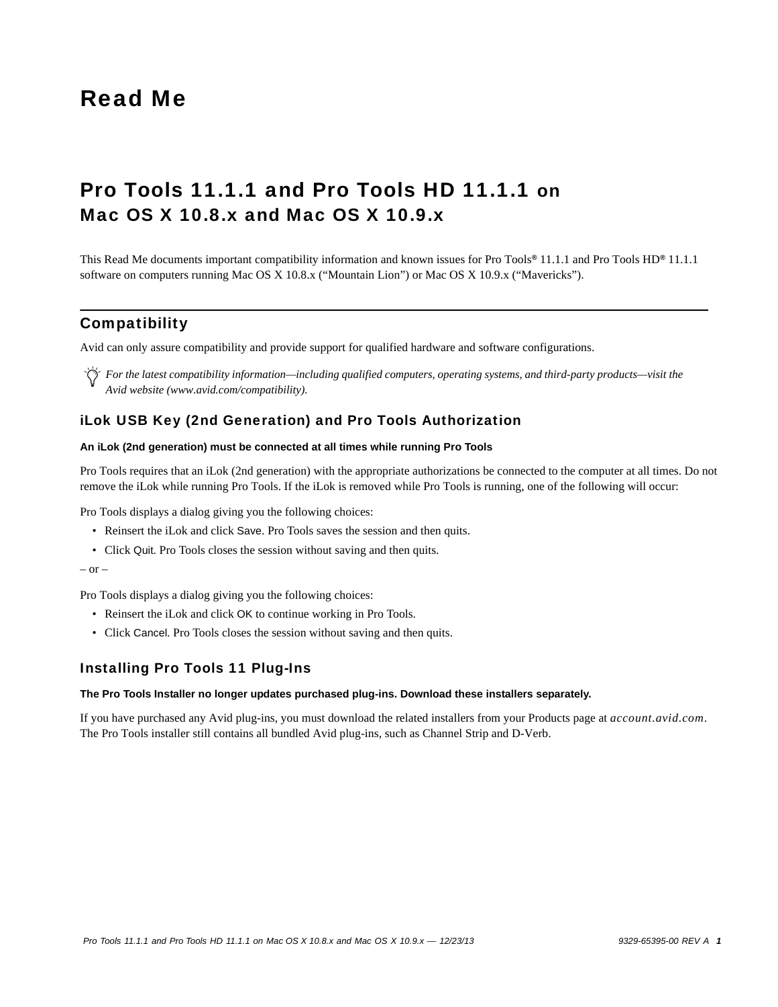# Read Me

# Pro Tools 11.1.1 and Pro Tools HD 11.1.1 on Mac OS X 10.8.x and Mac OS X 10.9.x

This Read Me documents important compatibility information and known issues for Pro Tools*®* 11.1.1 and Pro Tools HD*®* 11.1.1 software on computers running Mac OS X 10.8.x ("Mountain Lion") or Mac OS X 10.9.x ("Mavericks").

# **Compatibility**

Avid can only assure compatibility and provide support for qualified hardware and software configurations.

*For the latest compatibility information—including qualified computers, operating systems, and third-party products—visit the Avid website (www.avid.com/compatibility).*

# iLok USB Key (2nd Generation) and Pro Tools Authorization

### **An iLok (2nd generation) must be connected at all times while running Pro Tools**

Pro Tools requires that an iLok (2nd generation) with the appropriate authorizations be connected to the computer at all times. Do not remove the iLok while running Pro Tools. If the iLok is removed while Pro Tools is running, one of the following will occur:

Pro Tools displays a dialog giving you the following choices:

- Reinsert the iLok and click Save. Pro Tools saves the session and then quits.
- Click Quit. Pro Tools closes the session without saving and then quits.

#### $-$  or  $-$

Pro Tools displays a dialog giving you the following choices:

- Reinsert the iLok and click OK to continue working in Pro Tools.
- Click Cancel. Pro Tools closes the session without saving and then quits.

# Installing Pro Tools 11 Plug-Ins

#### **The Pro Tools Installer no longer updates purchased plug-ins. Download these installers separately.**

If you have purchased any Avid plug-ins, you must download the related installers from your Products page at *account.avid.com*. The Pro Tools installer still contains all bundled Avid plug-ins, such as Channel Strip and D-Verb.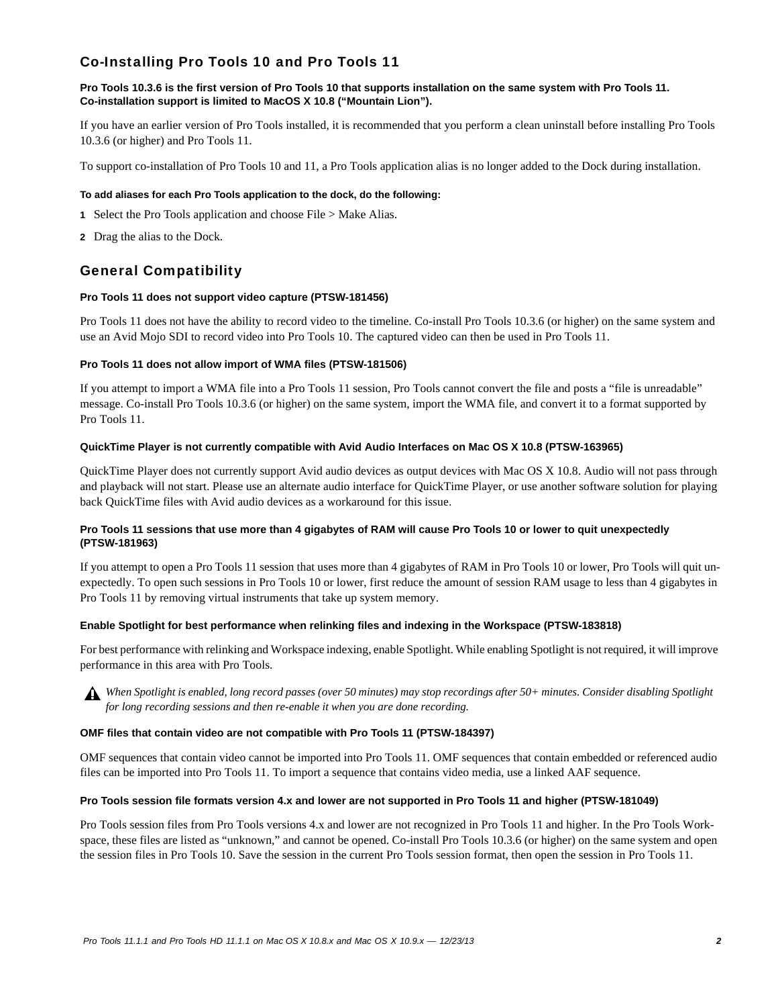# Co-Installing Pro Tools 10 and Pro Tools 11

### **Pro Tools 10.3.6 is the first version of Pro Tools 10 that supports installation on the same system with Pro Tools 11. Co-installation support is limited to MacOS X 10.8 ("Mountain Lion").**

If you have an earlier version of Pro Tools installed, it is recommended that you perform a clean uninstall before installing Pro Tools 10.3.6 (or higher) and Pro Tools 11.

To support co-installation of Pro Tools 10 and 11, a Pro Tools application alias is no longer added to the Dock during installation.

#### **To add aliases for each Pro Tools application to the dock, do the following:**

- **1** Select the Pro Tools application and choose File > Make Alias.
- **2** Drag the alias to the Dock.

# General Compatibility

#### **Pro Tools 11 does not support video capture (PTSW-181456)**

Pro Tools 11 does not have the ability to record video to the timeline. Co-install Pro Tools 10.3.6 (or higher) on the same system and use an Avid Mojo SDI to record video into Pro Tools 10. The captured video can then be used in Pro Tools 11.

#### **Pro Tools 11 does not allow import of WMA files (PTSW-181506)**

If you attempt to import a WMA file into a Pro Tools 11 session, Pro Tools cannot convert the file and posts a "file is unreadable" message. Co-install Pro Tools 10.3.6 (or higher) on the same system, import the WMA file, and convert it to a format supported by Pro Tools 11.

#### **QuickTime Player is not currently compatible with Avid Audio Interfaces on Mac OS X 10.8 (PTSW-163965)**

QuickTime Player does not currently support Avid audio devices as output devices with Mac OS X 10.8. Audio will not pass through and playback will not start. Please use an alternate audio interface for QuickTime Player, or use another software solution for playing back QuickTime files with Avid audio devices as a workaround for this issue.

# **Pro Tools 11 sessions that use more than 4 gigabytes of RAM will cause Pro Tools 10 or lower to quit unexpectedly (PTSW-181963)**

If you attempt to open a Pro Tools 11 session that uses more than 4 gigabytes of RAM in Pro Tools 10 or lower, Pro Tools will quit unexpectedly. To open such sessions in Pro Tools 10 or lower, first reduce the amount of session RAM usage to less than 4 gigabytes in Pro Tools 11 by removing virtual instruments that take up system memory.

# **Enable Spotlight for best performance when relinking files and indexing in the Workspace (PTSW-183818)**

For best performance with relinking and Workspace indexing, enable Spotlight. While enabling Spotlight is not required, it will improve performance in this area with Pro Tools.

*When Spotlight is enabled, long record passes (over 50 minutes) may stop recordings after 50+ minutes. Consider disabling Spotlight for long recording sessions and then re-enable it when you are done recording.*

#### **OMF files that contain video are not compatible with Pro Tools 11 (PTSW-184397)**

OMF sequences that contain video cannot be imported into Pro Tools 11. OMF sequences that contain embedded or referenced audio files can be imported into Pro Tools 11. To import a sequence that contains video media, use a linked AAF sequence.

#### **Pro Tools session file formats version 4.x and lower are not supported in Pro Tools 11 and higher (PTSW-181049)**

Pro Tools session files from Pro Tools versions 4.x and lower are not recognized in Pro Tools 11 and higher. In the Pro Tools Workspace, these files are listed as "unknown," and cannot be opened. Co-install Pro Tools 10.3.6 (or higher) on the same system and open the session files in Pro Tools 10. Save the session in the current Pro Tools session format, then open the session in Pro Tools 11.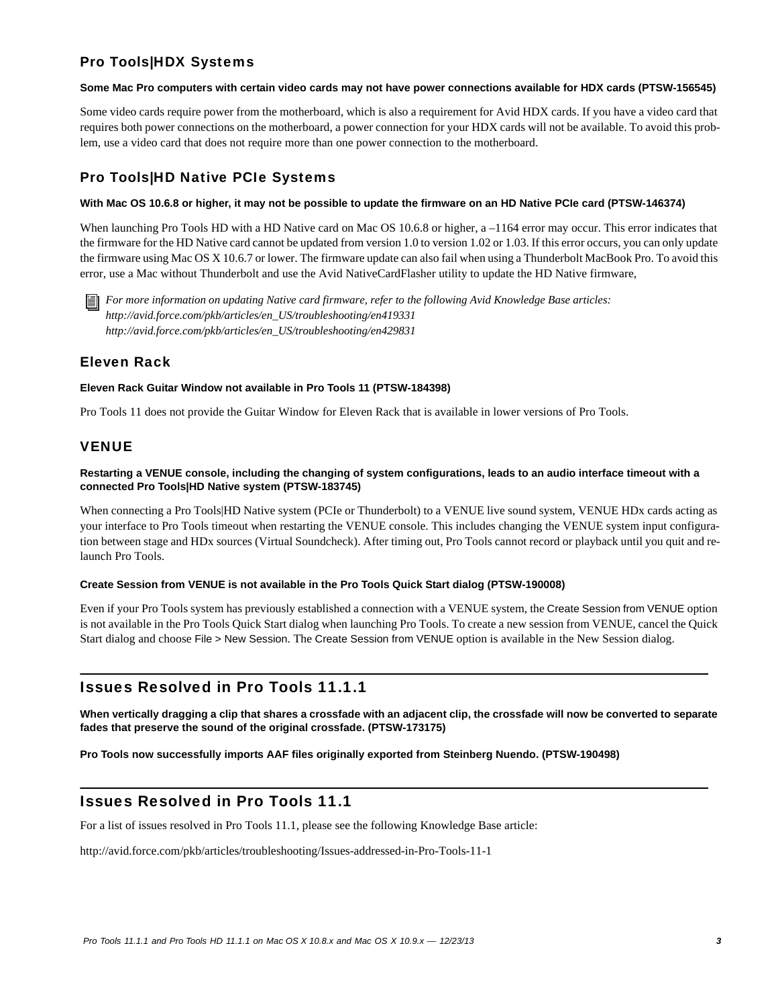# Pro Tools|HDX Systems

#### **Some Mac Pro computers with certain video cards may not have power connections available for HDX cards (PTSW-156545)**

Some video cards require power from the motherboard, which is also a requirement for Avid HDX cards. If you have a video card that requires both power connections on the motherboard, a power connection for your HDX cards will not be available. To avoid this problem, use a video card that does not require more than one power connection to the motherboard.

# Pro Tools|HD Native PCIe Systems

#### **With Mac OS 10.6.8 or higher, it may not be possible to update the firmware on an HD Native PCIe card (PTSW-146374)**

When launching Pro Tools HD with a HD Native card on Mac OS 10.6.8 or higher, a –1164 error may occur. This error indicates that the firmware for the HD Native card cannot be updated from version 1.0 to version 1.02 or 1.03. If this error occurs, you can only update the firmware using Mac OS X 10.6.7 or lower. The firmware update can also fail when using a Thunderbolt MacBook Pro. To avoid this error, use a Mac without Thunderbolt and use the Avid NativeCardFlasher utility to update the HD Native firmware,

*For more information on updating Native card firmware, refer to the following Avid Knowledge Base articles: http://avid.force.com/pkb/articles/en\_US/troubleshooting/en419331 http://avid.force.com/pkb/articles/en\_US/troubleshooting/en429831*

# Eleven Rack

#### **Eleven Rack Guitar Window not available in Pro Tools 11 (PTSW-184398)**

Pro Tools 11 does not provide the Guitar Window for Eleven Rack that is available in lower versions of Pro Tools.

# VENUE

### **Restarting a VENUE console, including the changing of system configurations, leads to an audio interface timeout with a connected Pro Tools|HD Native system (PTSW-183745)**

When connecting a Pro Tools|HD Native system (PCIe or Thunderbolt) to a VENUE live sound system, VENUE HDx cards acting as your interface to Pro Tools timeout when restarting the VENUE console. This includes changing the VENUE system input configuration between stage and HDx sources (Virtual Soundcheck). After timing out, Pro Tools cannot record or playback until you quit and relaunch Pro Tools.

#### **Create Session from VENUE is not available in the Pro Tools Quick Start dialog (PTSW-190008)**

Even if your Pro Tools system has previously established a connection with a VENUE system, the Create Session from VENUE option is not available in the Pro Tools Quick Start dialog when launching Pro Tools. To create a new session from VENUE, cancel the Quick Start dialog and choose File > New Session. The Create Session from VENUE option is available in the New Session dialog.

# Issues Resolved in Pro Tools 11.1.1

**When vertically dragging a clip that shares a crossfade with an adjacent clip, the crossfade will now be converted to separate fades that preserve the sound of the original crossfade. (PTSW-173175)**

#### **Pro Tools now successfully imports AAF files originally exported from Steinberg Nuendo. (PTSW-190498)**

# Issues Resolved in Pro Tools 11.1

For a list of issues resolved in Pro Tools 11.1, please see the following Knowledge Base article:

<http://avid.force.com/pkb/articles/troubleshooting/Issues-addressed-in-Pro-Tools-11-1>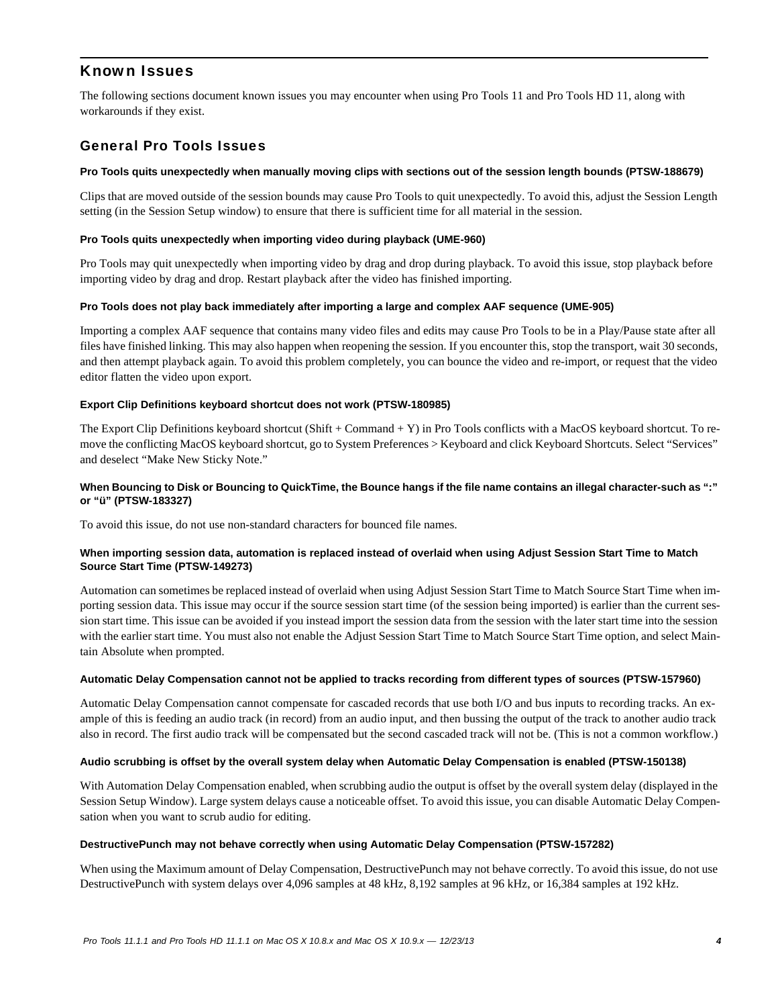# Known Issues

The following sections document known issues you may encounter when using Pro Tools 11 and Pro Tools HD 11, along with workarounds if they exist.

# General Pro Tools Issues

### **Pro Tools quits unexpectedly when manually moving clips with sections out of the session length bounds (PTSW-188679)**

Clips that are moved outside of the session bounds may cause Pro Tools to quit unexpectedly. To avoid this, adjust the Session Length setting (in the Session Setup window) to ensure that there is sufficient time for all material in the session.

#### **Pro Tools quits unexpectedly when importing video during playback (UME-960)**

Pro Tools may quit unexpectedly when importing video by drag and drop during playback. To avoid this issue, stop playback before importing video by drag and drop. Restart playback after the video has finished importing.

#### **Pro Tools does not play back immediately after importing a large and complex AAF sequence (UME-905)**

Importing a complex AAF sequence that contains many video files and edits may cause Pro Tools to be in a Play/Pause state after all files have finished linking. This may also happen when reopening the session. If you encounter this, stop the transport, wait 30 seconds, and then attempt playback again. To avoid this problem completely, you can bounce the video and re-import, or request that the video editor flatten the video upon export.

# **Export Clip Definitions keyboard shortcut does not work (PTSW-180985)**

The Export Clip Definitions keyboard shortcut (Shift + Command + Y) in Pro Tools conflicts with a MacOS keyboard shortcut. To remove the conflicting MacOS keyboard shortcut, go to System Preferences > Keyboard and click Keyboard Shortcuts. Select "Services" and deselect "Make New Sticky Note."

### **When Bouncing to Disk or Bouncing to QuickTime, the Bounce hangs if the file name contains an illegal character-such as ":" or "ü" (PTSW-183327)**

To avoid this issue, do not use non-standard characters for bounced file names.

# **When importing session data, automation is replaced instead of overlaid when using Adjust Session Start Time to Match Source Start Time (PTSW-149273)**

Automation can sometimes be replaced instead of overlaid when using Adjust Session Start Time to Match Source Start Time when importing session data. This issue may occur if the source session start time (of the session being imported) is earlier than the current session start time. This issue can be avoided if you instead import the session data from the session with the later start time into the session with the earlier start time. You must also not enable the Adjust Session Start Time to Match Source Start Time option, and select Maintain Absolute when prompted.

# **Automatic Delay Compensation cannot not be applied to tracks recording from different types of sources (PTSW-157960)**

Automatic Delay Compensation cannot compensate for cascaded records that use both I/O and bus inputs to recording tracks. An example of this is feeding an audio track (in record) from an audio input, and then bussing the output of the track to another audio track also in record. The first audio track will be compensated but the second cascaded track will not be. (This is not a common workflow.)

# **Audio scrubbing is offset by the overall system delay when Automatic Delay Compensation is enabled (PTSW-150138)**

With Automation Delay Compensation enabled, when scrubbing audio the output is offset by the overall system delay (displayed in the Session Setup Window). Large system delays cause a noticeable offset. To avoid this issue, you can disable Automatic Delay Compensation when you want to scrub audio for editing.

#### **DestructivePunch may not behave correctly when using Automatic Delay Compensation (PTSW-157282)**

When using the Maximum amount of Delay Compensation, DestructivePunch may not behave correctly. To avoid this issue, do not use DestructivePunch with system delays over 4,096 samples at 48 kHz, 8,192 samples at 96 kHz, or 16,384 samples at 192 kHz.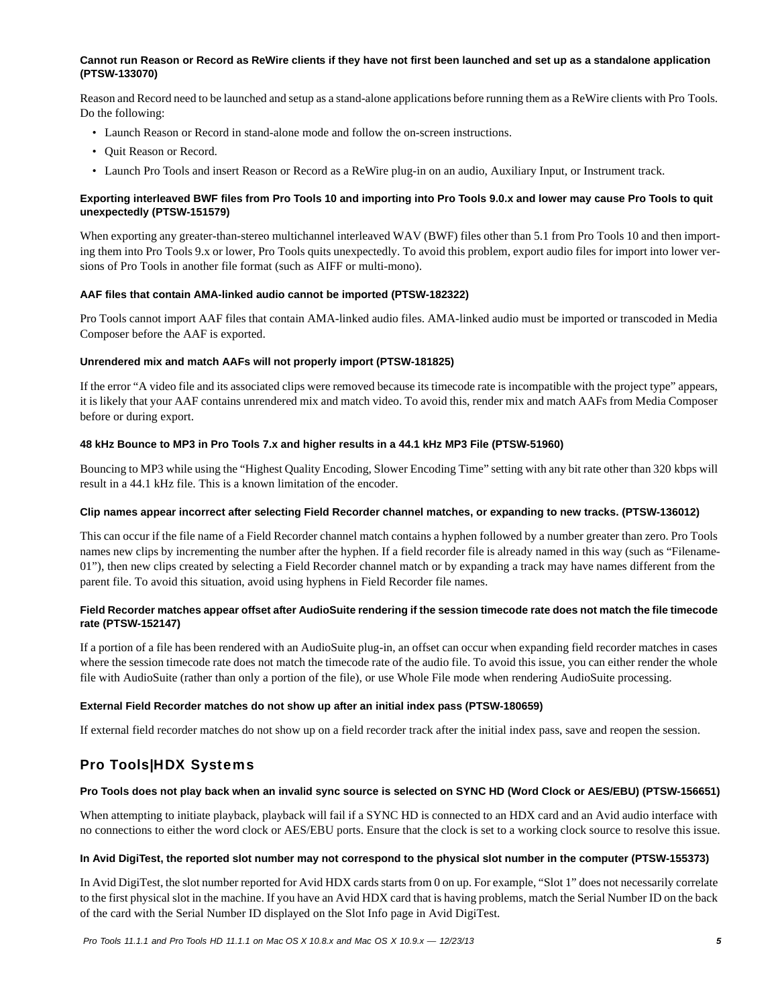### **Cannot run Reason or Record as ReWire clients if they have not first been launched and set up as a standalone application (PTSW-133070)**

Reason and Record need to be launched and setup as a stand-alone applications before running them as a ReWire clients with Pro Tools. Do the following:

- Launch Reason or Record in stand-alone mode and follow the on-screen instructions.
- Quit Reason or Record.
- Launch Pro Tools and insert Reason or Record as a ReWire plug-in on an audio, Auxiliary Input, or Instrument track.

### **Exporting interleaved BWF files from Pro Tools 10 and importing into Pro Tools 9.0.x and lower may cause Pro Tools to quit unexpectedly (PTSW-151579)**

When exporting any greater-than-stereo multichannel interleaved WAV (BWF) files other than 5.1 from Pro Tools 10 and then importing them into Pro Tools 9.x or lower, Pro Tools quits unexpectedly. To avoid this problem, export audio files for import into lower versions of Pro Tools in another file format (such as AIFF or multi-mono).

#### **AAF files that contain AMA-linked audio cannot be imported (PTSW-182322)**

Pro Tools cannot import AAF files that contain AMA-linked audio files. AMA-linked audio must be imported or transcoded in Media Composer before the AAF is exported.

#### **Unrendered mix and match AAFs will not properly import (PTSW-181825)**

If the error "A video file and its associated clips were removed because its timecode rate is incompatible with the project type" appears, it is likely that your AAF contains unrendered mix and match video. To avoid this, render mix and match AAFs from Media Composer before or during export.

### **48 kHz Bounce to MP3 in Pro Tools 7.x and higher results in a 44.1 kHz MP3 File (PTSW-51960)**

Bouncing to MP3 while using the "Highest Quality Encoding, Slower Encoding Time" setting with any bit rate other than 320 kbps will result in a 44.1 kHz file. This is a known limitation of the encoder.

#### **Clip names appear incorrect after selecting Field Recorder channel matches, or expanding to new tracks. (PTSW-136012)**

This can occur if the file name of a Field Recorder channel match contains a hyphen followed by a number greater than zero. Pro Tools names new clips by incrementing the number after the hyphen. If a field recorder file is already named in this way (such as "Filename-01"), then new clips created by selecting a Field Recorder channel match or by expanding a track may have names different from the parent file. To avoid this situation, avoid using hyphens in Field Recorder file names.

# **Field Recorder matches appear offset after AudioSuite rendering if the session timecode rate does not match the file timecode rate (PTSW-152147)**

If a portion of a file has been rendered with an AudioSuite plug-in, an offset can occur when expanding field recorder matches in cases where the session timecode rate does not match the timecode rate of the audio file. To avoid this issue, you can either render the whole file with AudioSuite (rather than only a portion of the file), or use Whole File mode when rendering AudioSuite processing.

#### **External Field Recorder matches do not show up after an initial index pass (PTSW-180659)**

If external field recorder matches do not show up on a field recorder track after the initial index pass, save and reopen the session.

# Pro Tools|HDX Systems

# **Pro Tools does not play back when an invalid sync source is selected on SYNC HD (Word Clock or AES/EBU) (PTSW-156651)**

When attempting to initiate playback, playback will fail if a SYNC HD is connected to an HDX card and an Avid audio interface with no connections to either the word clock or AES/EBU ports. Ensure that the clock is set to a working clock source to resolve this issue.

#### **In Avid DigiTest, the reported slot number may not correspond to the physical slot number in the computer (PTSW-155373)**

In Avid DigiTest, the slot number reported for Avid HDX cards starts from 0 on up. For example, "Slot 1" does not necessarily correlate to the first physical slot in the machine. If you have an Avid HDX card that is having problems, match the Serial Number ID on the back of the card with the Serial Number ID displayed on the Slot Info page in Avid DigiTest.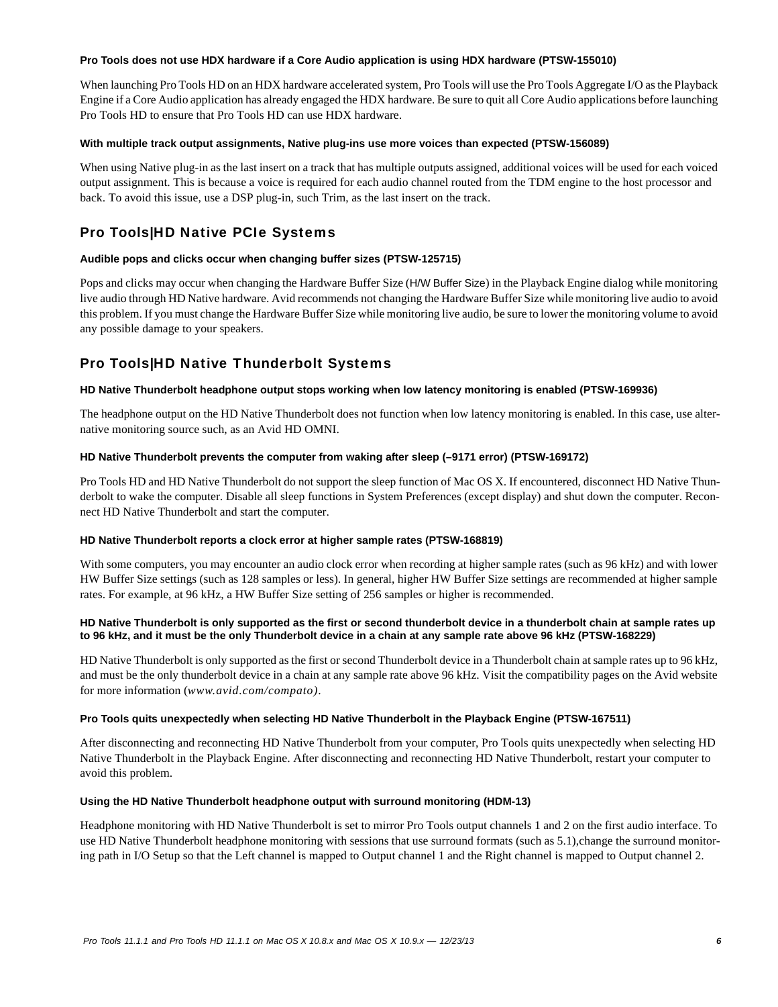#### **Pro Tools does not use HDX hardware if a Core Audio application is using HDX hardware (PTSW-155010)**

When launching Pro Tools HD on an HDX hardware accelerated system, Pro Tools will use the Pro Tools Aggregate I/O as the Playback Engine if a Core Audio application has already engaged the HDX hardware. Be sure to quit all Core Audio applications before launching Pro Tools HD to ensure that Pro Tools HD can use HDX hardware.

#### **With multiple track output assignments, Native plug-ins use more voices than expected (PTSW-156089)**

When using Native plug-in as the last insert on a track that has multiple outputs assigned, additional voices will be used for each voiced output assignment. This is because a voice is required for each audio channel routed from the TDM engine to the host processor and back. To avoid this issue, use a DSP plug-in, such Trim, as the last insert on the track.

# Pro Tools|HD Native PCIe Systems

# **Audible pops and clicks occur when changing buffer sizes (PTSW-125715)**

Pops and clicks may occur when changing the Hardware Buffer Size (H/W Buffer Size) in the Playback Engine dialog while monitoring live audio through HD Native hardware. Avid recommends not changing the Hardware Buffer Size while monitoring live audio to avoid this problem. If you must change the Hardware Buffer Size while monitoring live audio, be sure to lower the monitoring volume to avoid any possible damage to your speakers.

# Pro Tools|HD Native Thunderbolt Systems

#### **HD Native Thunderbolt headphone output stops working when low latency monitoring is enabled (PTSW-169936)**

The headphone output on the HD Native Thunderbolt does not function when low latency monitoring is enabled. In this case, use alternative monitoring source such, as an Avid HD OMNI.

#### **HD Native Thunderbolt prevents the computer from waking after sleep (–9171 error) (PTSW-169172)**

Pro Tools HD and HD Native Thunderbolt do not support the sleep function of Mac OS X. If encountered, disconnect HD Native Thunderbolt to wake the computer. Disable all sleep functions in System Preferences (except display) and shut down the computer. Reconnect HD Native Thunderbolt and start the computer.

#### **HD Native Thunderbolt reports a clock error at higher sample rates (PTSW-168819)**

With some computers, you may encounter an audio clock error when recording at higher sample rates (such as 96 kHz) and with lower HW Buffer Size settings (such as 128 samples or less). In general, higher HW Buffer Size settings are recommended at higher sample rates. For example, at 96 kHz, a HW Buffer Size setting of 256 samples or higher is recommended.

#### **HD Native Thunderbolt is only supported as the first or second thunderbolt device in a thunderbolt chain at sample rates up to 96 kHz, and it must be the only Thunderbolt device in a chain at any sample rate above 96 kHz (PTSW-168229)**

HD Native Thunderbolt is only supported as the first or second Thunderbolt device in a Thunderbolt chain at sample rates up to 96 kHz, and must be the only thunderbolt device in a chain at any sample rate above 96 kHz. Visit the compatibility pages on the Avid website for more information (*www.avid.com/compato)*.

#### **Pro Tools quits unexpectedly when selecting HD Native Thunderbolt in the Playback Engine (PTSW-167511)**

After disconnecting and reconnecting HD Native Thunderbolt from your computer, Pro Tools quits unexpectedly when selecting HD Native Thunderbolt in the Playback Engine. After disconnecting and reconnecting HD Native Thunderbolt, restart your computer to avoid this problem.

#### **Using the HD Native Thunderbolt headphone output with surround monitoring (HDM-13)**

Headphone monitoring with HD Native Thunderbolt is set to mirror Pro Tools output channels 1 and 2 on the first audio interface. To use HD Native Thunderbolt headphone monitoring with sessions that use surround formats (such as 5.1),change the surround monitoring path in I/O Setup so that the Left channel is mapped to Output channel 1 and the Right channel is mapped to Output channel 2.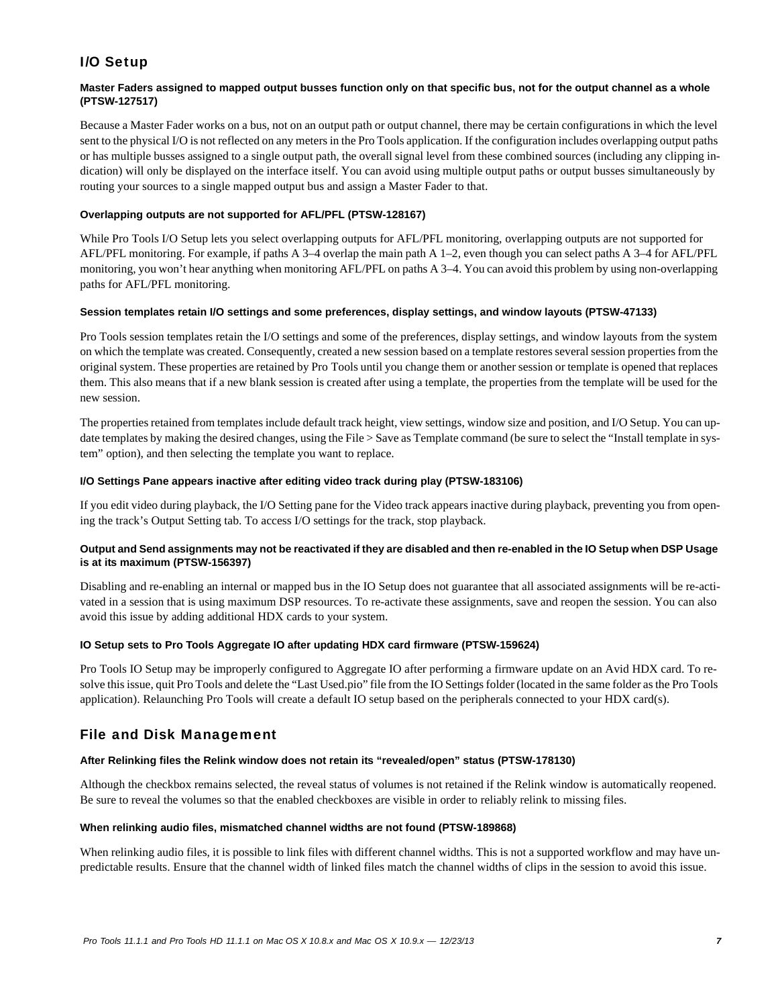# I/O Setup

# **Master Faders assigned to mapped output busses function only on that specific bus, not for the output channel as a whole (PTSW-127517)**

Because a Master Fader works on a bus, not on an output path or output channel, there may be certain configurations in which the level sent to the physical I/O is not reflected on any meters in the Pro Tools application. If the configuration includes overlapping output paths or has multiple busses assigned to a single output path, the overall signal level from these combined sources (including any clipping indication) will only be displayed on the interface itself. You can avoid using multiple output paths or output busses simultaneously by routing your sources to a single mapped output bus and assign a Master Fader to that.

# **Overlapping outputs are not supported for AFL/PFL (PTSW-128167)**

While Pro Tools I/O Setup lets you select overlapping outputs for AFL/PFL monitoring, overlapping outputs are not supported for AFL/PFL monitoring. For example, if paths A 3–4 overlap the main path A 1–2, even though you can select paths A 3–4 for AFL/PFL monitoring, you won't hear anything when monitoring AFL/PFL on paths A 3–4. You can avoid this problem by using non-overlapping paths for AFL/PFL monitoring.

# **Session templates retain I/O settings and some preferences, display settings, and window layouts (PTSW-47133)**

Pro Tools session templates retain the I/O settings and some of the preferences, display settings, and window layouts from the system on which the template was created. Consequently, created a new session based on a template restores several session properties from the original system. These properties are retained by Pro Tools until you change them or another session or template is opened that replaces them. This also means that if a new blank session is created after using a template, the properties from the template will be used for the new session.

The properties retained from templates include default track height, view settings, window size and position, and I/O Setup. You can update templates by making the desired changes, using the File > Save as Template command (be sure to select the "Install template in system" option), and then selecting the template you want to replace.

### **I/O Settings Pane appears inactive after editing video track during play (PTSW-183106)**

If you edit video during playback, the I/O Setting pane for the Video track appears inactive during playback, preventing you from opening the track's Output Setting tab. To access I/O settings for the track, stop playback.

# **Output and Send assignments may not be reactivated if they are disabled and then re-enabled in the IO Setup when DSP Usage is at its maximum (PTSW-156397)**

Disabling and re-enabling an internal or mapped bus in the IO Setup does not guarantee that all associated assignments will be re-activated in a session that is using maximum DSP resources. To re-activate these assignments, save and reopen the session. You can also avoid this issue by adding additional HDX cards to your system.

# **IO Setup sets to Pro Tools Aggregate IO after updating HDX card firmware (PTSW-159624)**

Pro Tools IO Setup may be improperly configured to Aggregate IO after performing a firmware update on an Avid HDX card. To resolve this issue, quit Pro Tools and delete the "Last Used.pio" file from the IO Settings folder (located in the same folder as the Pro Tools application). Relaunching Pro Tools will create a default IO setup based on the peripherals connected to your HDX card(s).

# File and Disk Management

# **After Relinking files the Relink window does not retain its "revealed/open" status (PTSW-178130)**

Although the checkbox remains selected, the reveal status of volumes is not retained if the Relink window is automatically reopened. Be sure to reveal the volumes so that the enabled checkboxes are visible in order to reliably relink to missing files.

#### **When relinking audio files, mismatched channel widths are not found (PTSW-189868)**

When relinking audio files, it is possible to link files with different channel widths. This is not a supported workflow and may have unpredictable results. Ensure that the channel width of linked files match the channel widths of clips in the session to avoid this issue.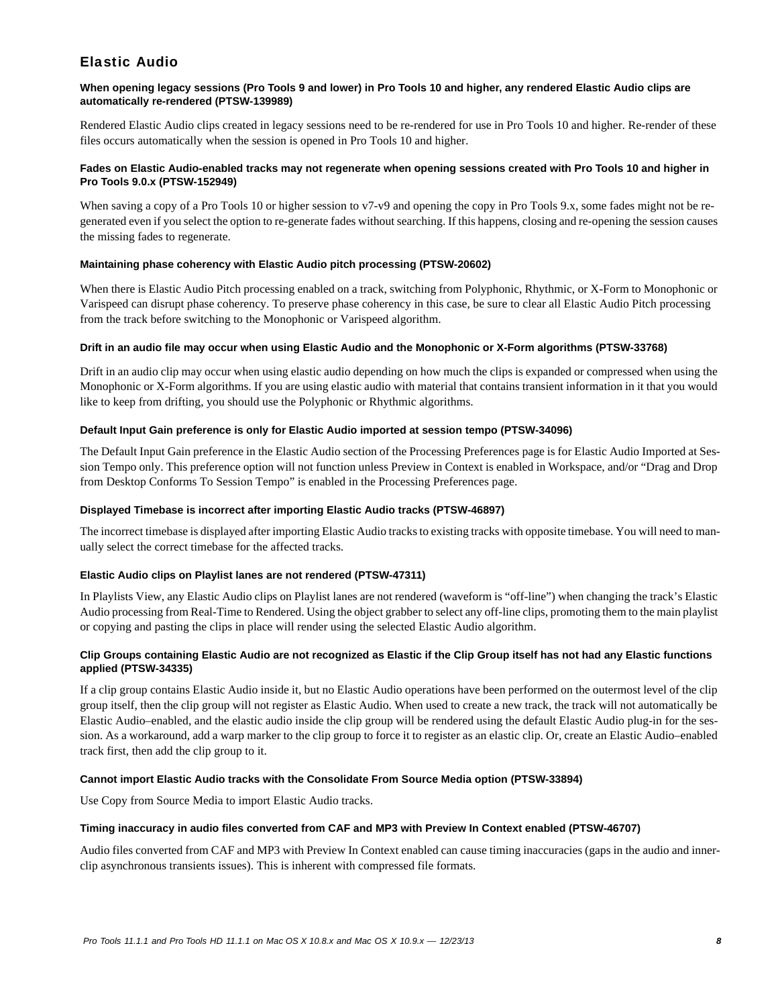# Elastic Audio

# **When opening legacy sessions (Pro Tools 9 and lower) in Pro Tools 10 and higher, any rendered Elastic Audio clips are automatically re-rendered (PTSW-139989)**

Rendered Elastic Audio clips created in legacy sessions need to be re-rendered for use in Pro Tools 10 and higher. Re-render of these files occurs automatically when the session is opened in Pro Tools 10 and higher.

# **Fades on Elastic Audio-enabled tracks may not regenerate when opening sessions created with Pro Tools 10 and higher in Pro Tools 9.0.x (PTSW-152949)**

When saving a copy of a Pro Tools 10 or higher session to v7-v9 and opening the copy in Pro Tools 9.x, some fades might not be regenerated even if you select the option to re-generate fades without searching. If this happens, closing and re-opening the session causes the missing fades to regenerate.

# **Maintaining phase coherency with Elastic Audio pitch processing (PTSW-20602)**

When there is Elastic Audio Pitch processing enabled on a track, switching from Polyphonic, Rhythmic, or X-Form to Monophonic or Varispeed can disrupt phase coherency. To preserve phase coherency in this case, be sure to clear all Elastic Audio Pitch processing from the track before switching to the Monophonic or Varispeed algorithm.

# **Drift in an audio file may occur when using Elastic Audio and the Monophonic or X-Form algorithms (PTSW-33768)**

Drift in an audio clip may occur when using elastic audio depending on how much the clips is expanded or compressed when using the Monophonic or X-Form algorithms. If you are using elastic audio with material that contains transient information in it that you would like to keep from drifting, you should use the Polyphonic or Rhythmic algorithms.

# **Default Input Gain preference is only for Elastic Audio imported at session tempo (PTSW-34096)**

The Default Input Gain preference in the Elastic Audio section of the Processing Preferences page is for Elastic Audio Imported at Session Tempo only. This preference option will not function unless Preview in Context is enabled in Workspace, and/or "Drag and Drop from Desktop Conforms To Session Tempo" is enabled in the Processing Preferences page.

# **Displayed Timebase is incorrect after importing Elastic Audio tracks (PTSW-46897)**

The incorrect timebase is displayed after importing Elastic Audio tracks to existing tracks with opposite timebase. You will need to manually select the correct timebase for the affected tracks.

# **Elastic Audio clips on Playlist lanes are not rendered (PTSW-47311)**

In Playlists View, any Elastic Audio clips on Playlist lanes are not rendered (waveform is "off-line") when changing the track's Elastic Audio processing from Real-Time to Rendered. Using the object grabber to select any off-line clips, promoting them to the main playlist or copying and pasting the clips in place will render using the selected Elastic Audio algorithm.

# **Clip Groups containing Elastic Audio are not recognized as Elastic if the Clip Group itself has not had any Elastic functions applied (PTSW-34335)**

If a clip group contains Elastic Audio inside it, but no Elastic Audio operations have been performed on the outermost level of the clip group itself, then the clip group will not register as Elastic Audio. When used to create a new track, the track will not automatically be Elastic Audio–enabled, and the elastic audio inside the clip group will be rendered using the default Elastic Audio plug-in for the session. As a workaround, add a warp marker to the clip group to force it to register as an elastic clip. Or, create an Elastic Audio–enabled track first, then add the clip group to it.

# **Cannot import Elastic Audio tracks with the Consolidate From Source Media option (PTSW-33894)**

Use Copy from Source Media to import Elastic Audio tracks.

# **Timing inaccuracy in audio files converted from CAF and MP3 with Preview In Context enabled (PTSW-46707)**

Audio files converted from CAF and MP3 with Preview In Context enabled can cause timing inaccuracies (gaps in the audio and innerclip asynchronous transients issues). This is inherent with compressed file formats.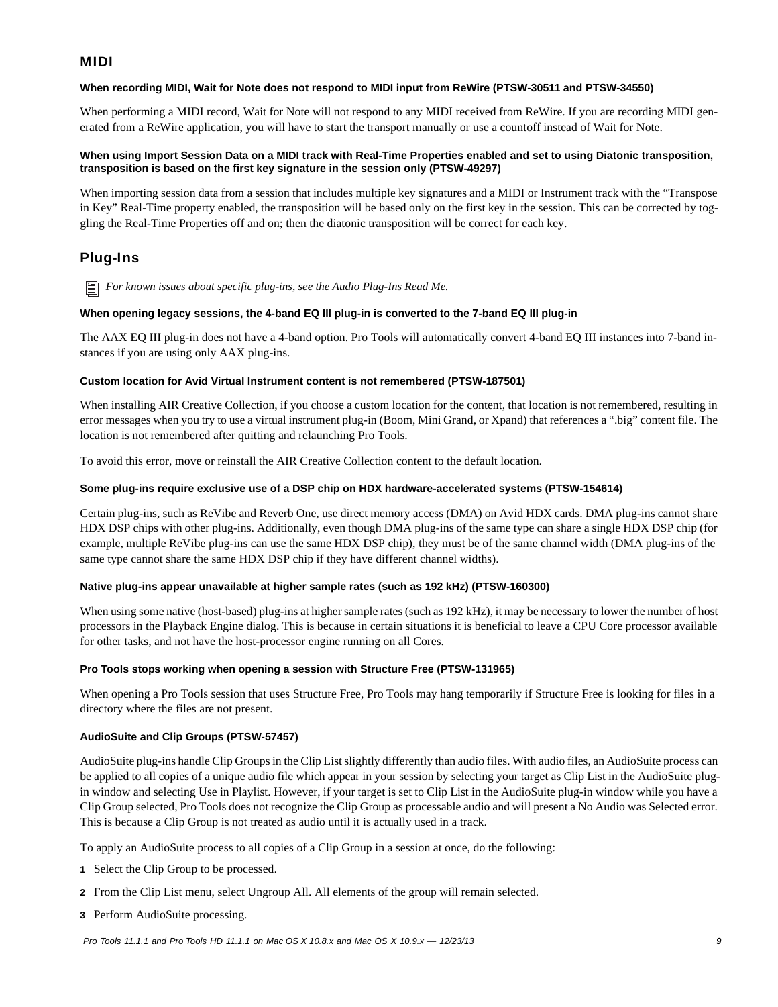# MIDI

# **When recording MIDI, Wait for Note does not respond to MIDI input from ReWire (PTSW-30511 and PTSW-34550)**

When performing a MIDI record, Wait for Note will not respond to any MIDI received from ReWire. If you are recording MIDI generated from a ReWire application, you will have to start the transport manually or use a countoff instead of Wait for Note.

# **When using Import Session Data on a MIDI track with Real-Time Properties enabled and set to using Diatonic transposition, transposition is based on the first key signature in the session only (PTSW-49297)**

When importing session data from a session that includes multiple key signatures and a MIDI or Instrument track with the "Transpose in Key" Real-Time property enabled, the transposition will be based only on the first key in the session. This can be corrected by toggling the Real-Time Properties off and on; then the diatonic transposition will be correct for each key.

# Plug-Ins

*For known issues about specific plug-ins, see the Audio Plug-Ins Read Me.*

#### **When opening legacy sessions, the 4-band EQ III plug-in is converted to the 7-band EQ III plug-in**

The AAX EQ III plug-in does not have a 4-band option. Pro Tools will automatically convert 4-band EQ III instances into 7-band instances if you are using only AAX plug-ins.

#### **Custom location for Avid Virtual Instrument content is not remembered (PTSW-187501)**

When installing AIR Creative Collection, if you choose a custom location for the content, that location is not remembered, resulting in error messages when you try to use a virtual instrument plug-in (Boom, Mini Grand, or Xpand) that references a ".big" content file. The location is not remembered after quitting and relaunching Pro Tools.

To avoid this error, move or reinstall the AIR Creative Collection content to the default location.

#### **Some plug-ins require exclusive use of a DSP chip on HDX hardware-accelerated systems (PTSW-154614)**

Certain plug-ins, such as ReVibe and Reverb One, use direct memory access (DMA) on Avid HDX cards. DMA plug-ins cannot share HDX DSP chips with other plug-ins. Additionally, even though DMA plug-ins of the same type can share a single HDX DSP chip (for example, multiple ReVibe plug-ins can use the same HDX DSP chip), they must be of the same channel width (DMA plug-ins of the same type cannot share the same HDX DSP chip if they have different channel widths).

#### **Native plug-ins appear unavailable at higher sample rates (such as 192 kHz) (PTSW-160300)**

When using some native (host-based) plug-ins at higher sample rates (such as 192 kHz), it may be necessary to lower the number of host processors in the Playback Engine dialog. This is because in certain situations it is beneficial to leave a CPU Core processor available for other tasks, and not have the host-processor engine running on all Cores.

# **Pro Tools stops working when opening a session with Structure Free (PTSW-131965)**

When opening a Pro Tools session that uses Structure Free, Pro Tools may hang temporarily if Structure Free is looking for files in a directory where the files are not present.

# **AudioSuite and Clip Groups (PTSW-57457)**

AudioSuite plug-ins handle Clip Groups in the Clip List slightly differently than audio files. With audio files, an AudioSuite process can be applied to all copies of a unique audio file which appear in your session by selecting your target as Clip List in the AudioSuite plugin window and selecting Use in Playlist. However, if your target is set to Clip List in the AudioSuite plug-in window while you have a Clip Group selected, Pro Tools does not recognize the Clip Group as processable audio and will present a No Audio was Selected error. This is because a Clip Group is not treated as audio until it is actually used in a track.

To apply an AudioSuite process to all copies of a Clip Group in a session at once, do the following:

- **1** Select the Clip Group to be processed.
- **2** From the Clip List menu, select Ungroup All. All elements of the group will remain selected.
- **3** Perform AudioSuite processing.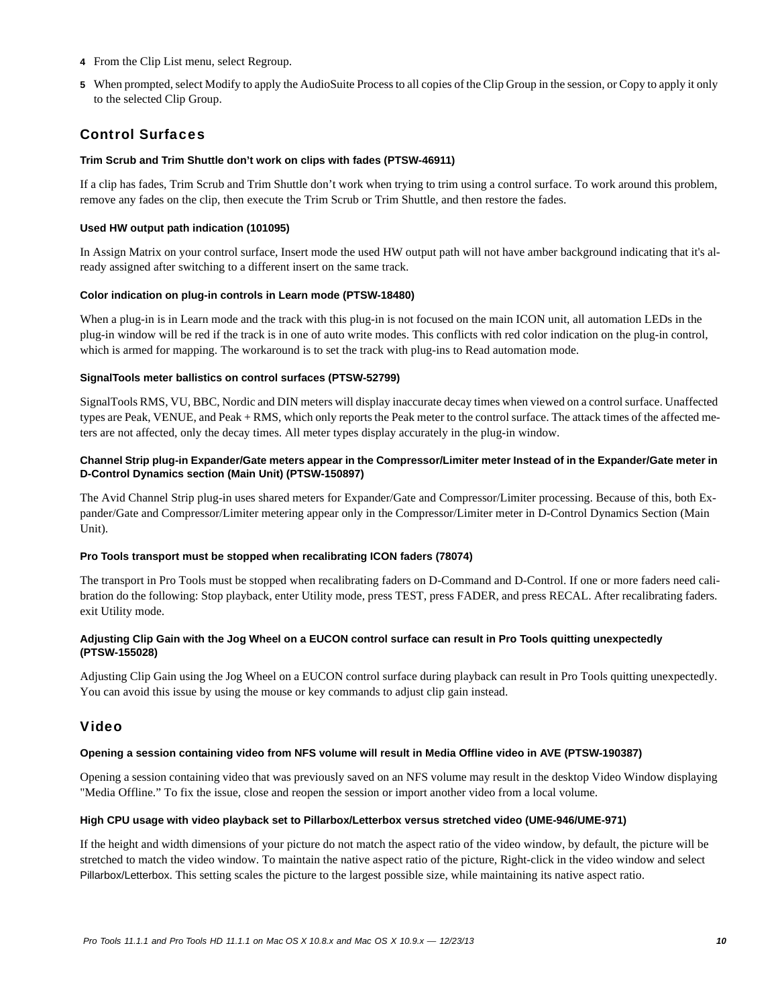- **4** From the Clip List menu, select Regroup.
- **5** When prompted, select Modify to apply the AudioSuite Process to all copies of the Clip Group in the session, or Copy to apply it only to the selected Clip Group.

# Control Surfaces

# **Trim Scrub and Trim Shuttle don't work on clips with fades (PTSW-46911)**

If a clip has fades, Trim Scrub and Trim Shuttle don't work when trying to trim using a control surface. To work around this problem, remove any fades on the clip, then execute the Trim Scrub or Trim Shuttle, and then restore the fades.

### **Used HW output path indication (101095)**

In Assign Matrix on your control surface, Insert mode the used HW output path will not have amber background indicating that it's already assigned after switching to a different insert on the same track.

#### **Color indication on plug-in controls in Learn mode (PTSW-18480)**

When a plug-in is in Learn mode and the track with this plug-in is not focused on the main ICON unit, all automation LEDs in the plug-in window will be red if the track is in one of auto write modes. This conflicts with red color indication on the plug-in control, which is armed for mapping. The workaround is to set the track with plug-ins to Read automation mode.

#### **SignalTools meter ballistics on control surfaces (PTSW-52799)**

SignalTools RMS, VU, BBC, Nordic and DIN meters will display inaccurate decay times when viewed on a control surface. Unaffected types are Peak, VENUE, and Peak + RMS, which only reports the Peak meter to the control surface. The attack times of the affected meters are not affected, only the decay times. All meter types display accurately in the plug-in window.

### **Channel Strip plug-in Expander/Gate meters appear in the Compressor/Limiter meter Instead of in the Expander/Gate meter in D-Control Dynamics section (Main Unit) (PTSW-150897)**

The Avid Channel Strip plug-in uses shared meters for Expander/Gate and Compressor/Limiter processing. Because of this, both Expander/Gate and Compressor/Limiter metering appear only in the Compressor/Limiter meter in D-Control Dynamics Section (Main Unit).

#### **Pro Tools transport must be stopped when recalibrating ICON faders (78074)**

The transport in Pro Tools must be stopped when recalibrating faders on D-Command and D-Control. If one or more faders need calibration do the following: Stop playback, enter Utility mode, press TEST, press FADER, and press RECAL. After recalibrating faders. exit Utility mode.

# **Adjusting Clip Gain with the Jog Wheel on a EUCON control surface can result in Pro Tools quitting unexpectedly (PTSW-155028)**

Adjusting Clip Gain using the Jog Wheel on a EUCON control surface during playback can result in Pro Tools quitting unexpectedly. You can avoid this issue by using the mouse or key commands to adjust clip gain instead.

# Video

# **Opening a session containing video from NFS volume will result in Media Offline video in AVE (PTSW-190387)**

Opening a session containing video that was previously saved on an NFS volume may result in the desktop Video Window displaying "Media Offline." To fix the issue, close and reopen the session or import another video from a local volume.

# **High CPU usage with video playback set to Pillarbox/Letterbox versus stretched video (UME-946/UME-971)**

If the height and width dimensions of your picture do not match the aspect ratio of the video window, by default, the picture will be stretched to match the video window. To maintain the native aspect ratio of the picture, Right-click in the video window and select Pillarbox/Letterbox. This setting scales the picture to the largest possible size, while maintaining its native aspect ratio.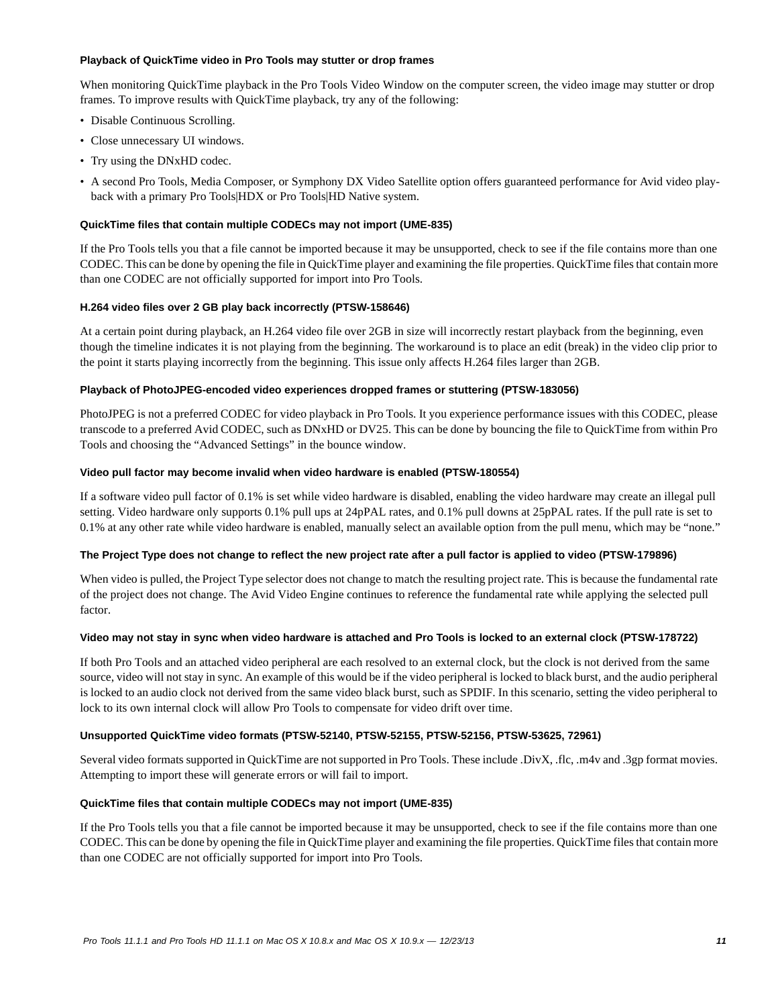#### **Playback of QuickTime video in Pro Tools may stutter or drop frames**

When monitoring QuickTime playback in the Pro Tools Video Window on the computer screen, the video image may stutter or drop frames. To improve results with QuickTime playback, try any of the following:

- Disable Continuous Scrolling.
- Close unnecessary UI windows.
- Try using the DNxHD codec.
- A second Pro Tools, Media Composer, or Symphony DX Video Satellite option offers guaranteed performance for Avid video playback with a primary Pro Tools|HDX or Pro Tools|HD Native system.

#### **QuickTime files that contain multiple CODECs may not import (UME-835)**

If the Pro Tools tells you that a file cannot be imported because it may be unsupported, check to see if the file contains more than one CODEC. This can be done by opening the file in QuickTime player and examining the file properties. QuickTime files that contain more than one CODEC are not officially supported for import into Pro Tools.

#### **H.264 video files over 2 GB play back incorrectly (PTSW-158646)**

At a certain point during playback, an H.264 video file over 2GB in size will incorrectly restart playback from the beginning, even though the timeline indicates it is not playing from the beginning. The workaround is to place an edit (break) in the video clip prior to the point it starts playing incorrectly from the beginning. This issue only affects H.264 files larger than 2GB.

#### **Playback of PhotoJPEG-encoded video experiences dropped frames or stuttering (PTSW-183056)**

PhotoJPEG is not a preferred CODEC for video playback in Pro Tools. It you experience performance issues with this CODEC, please transcode to a preferred Avid CODEC, such as DNxHD or DV25. This can be done by bouncing the file to QuickTime from within Pro Tools and choosing the "Advanced Settings" in the bounce window.

#### **Video pull factor may become invalid when video hardware is enabled (PTSW-180554)**

If a software video pull factor of 0.1% is set while video hardware is disabled, enabling the video hardware may create an illegal pull setting. Video hardware only supports 0.1% pull ups at 24pPAL rates, and 0.1% pull downs at 25pPAL rates. If the pull rate is set to 0.1% at any other rate while video hardware is enabled, manually select an available option from the pull menu, which may be "none."

#### **The Project Type does not change to reflect the new project rate after a pull factor is applied to video (PTSW-179896)**

When video is pulled, the Project Type selector does not change to match the resulting project rate. This is because the fundamental rate of the project does not change. The Avid Video Engine continues to reference the fundamental rate while applying the selected pull factor.

#### **Video may not stay in sync when video hardware is attached and Pro Tools is locked to an external clock (PTSW-178722)**

If both Pro Tools and an attached video peripheral are each resolved to an external clock, but the clock is not derived from the same source, video will not stay in sync. An example of this would be if the video peripheral is locked to black burst, and the audio peripheral is locked to an audio clock not derived from the same video black burst, such as SPDIF. In this scenario, setting the video peripheral to lock to its own internal clock will allow Pro Tools to compensate for video drift over time.

# **Unsupported QuickTime video formats (PTSW-52140, PTSW-52155, PTSW-52156, PTSW-53625, 72961)**

Several video formats supported in QuickTime are not supported in Pro Tools. These include .DivX, .flc, .m4v and .3gp format movies. Attempting to import these will generate errors or will fail to import.

#### **QuickTime files that contain multiple CODECs may not import (UME-835)**

If the Pro Tools tells you that a file cannot be imported because it may be unsupported, check to see if the file contains more than one CODEC. This can be done by opening the file in QuickTime player and examining the file properties. QuickTime files that contain more than one CODEC are not officially supported for import into Pro Tools.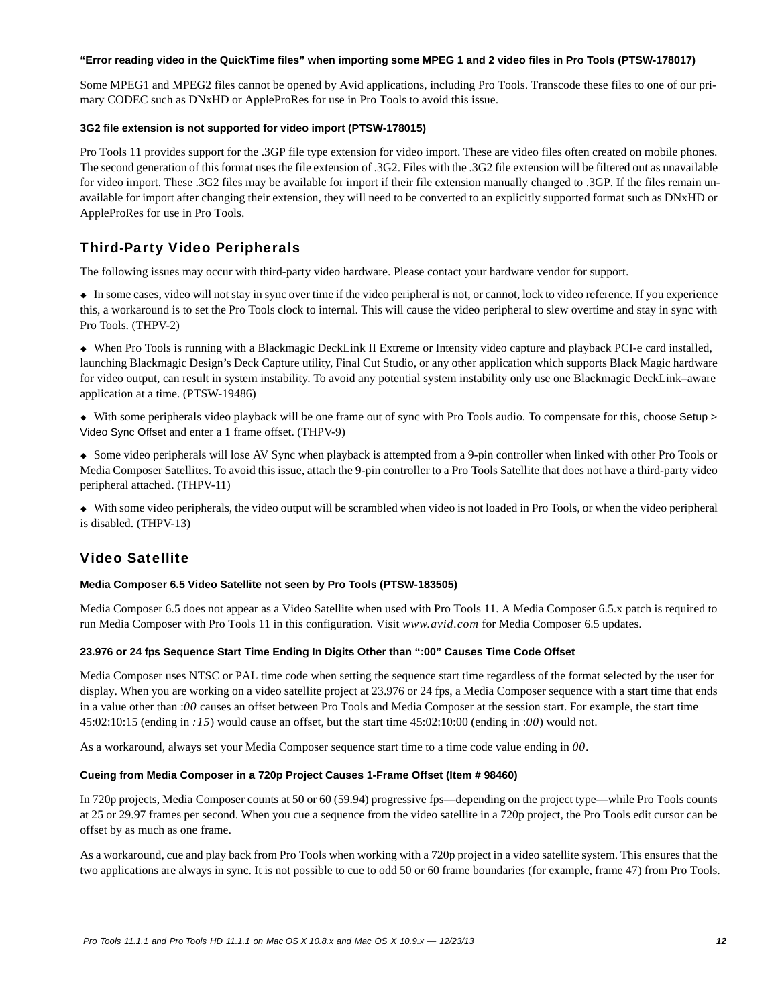#### **"Error reading video in the QuickTime files" when importing some MPEG 1 and 2 video files in Pro Tools (PTSW-178017)**

Some MPEG1 and MPEG2 files cannot be opened by Avid applications, including Pro Tools. Transcode these files to one of our primary CODEC such as DNxHD or AppleProRes for use in Pro Tools to avoid this issue.

# **3G2 file extension is not supported for video import (PTSW-178015)**

Pro Tools 11 provides support for the .3GP file type extension for video import. These are video files often created on mobile phones. The second generation of this format uses the file extension of .3G2. Files with the .3G2 file extension will be filtered out as unavailable for video import. These .3G2 files may be available for import if their file extension manually changed to .3GP. If the files remain unavailable for import after changing their extension, they will need to be converted to an explicitly supported format such as DNxHD or AppleProRes for use in Pro Tools.

# Third-Party Video Peripherals

The following issues may occur with third-party video hardware. Please contact your hardware vendor for support.

 In some cases, video will not stay in sync over time if the video peripheral is not, or cannot, lock to video reference. If you experience this, a workaround is to set the Pro Tools clock to internal. This will cause the video peripheral to slew overtime and stay in sync with Pro Tools. (THPV-2)

 When Pro Tools is running with a Blackmagic DeckLink II Extreme or Intensity video capture and playback PCI-e card installed, launching Blackmagic Design's Deck Capture utility, Final Cut Studio, or any other application which supports Black Magic hardware for video output, can result in system instability. To avoid any potential system instability only use one Blackmagic DeckLink–aware application at a time. (PTSW-19486)

 With some peripherals video playback will be one frame out of sync with Pro Tools audio. To compensate for this, choose Setup > Video Sync Offset and enter a 1 frame offset. (THPV-9)

 Some video peripherals will lose AV Sync when playback is attempted from a 9-pin controller when linked with other Pro Tools or Media Composer Satellites. To avoid this issue, attach the 9-pin controller to a Pro Tools Satellite that does not have a third-party video peripheral attached. (THPV-11)

 With some video peripherals, the video output will be scrambled when video is not loaded in Pro Tools, or when the video peripheral is disabled. (THPV-13)

# Video Satellite

# **Media Composer 6.5 Video Satellite not seen by Pro Tools (PTSW-183505)**

Media Composer 6.5 does not appear as a Video Satellite when used with Pro Tools 11. A Media Composer 6.5.x patch is required to run Media Composer with Pro Tools 11 in this configuration. Visit *www.avid.com* for Media Composer 6.5 updates.

# **23.976 or 24 fps Sequence Start Time Ending In Digits Other than ":00" Causes Time Code Offset**

Media Composer uses NTSC or PAL time code when setting the sequence start time regardless of the format selected by the user for display. When you are working on a video satellite project at 23.976 or 24 fps, a Media Composer sequence with a start time that ends in a value other than :*00* causes an offset between Pro Tools and Media Composer at the session start. For example, the start time 45:02:10:15 (ending in *:15*) would cause an offset, but the start time 45:02:10:00 (ending in :*00*) would not.

As a workaround, always set your Media Composer sequence start time to a time code value ending in *00*.

# **Cueing from Media Composer in a 720p Project Causes 1-Frame Offset (Item # 98460)**

In 720p projects, Media Composer counts at 50 or 60 (59.94) progressive fps—depending on the project type—while Pro Tools counts at 25 or 29.97 frames per second. When you cue a sequence from the video satellite in a 720p project, the Pro Tools edit cursor can be offset by as much as one frame.

As a workaround, cue and play back from Pro Tools when working with a 720p project in a video satellite system. This ensures that the two applications are always in sync. It is not possible to cue to odd 50 or 60 frame boundaries (for example, frame 47) from Pro Tools.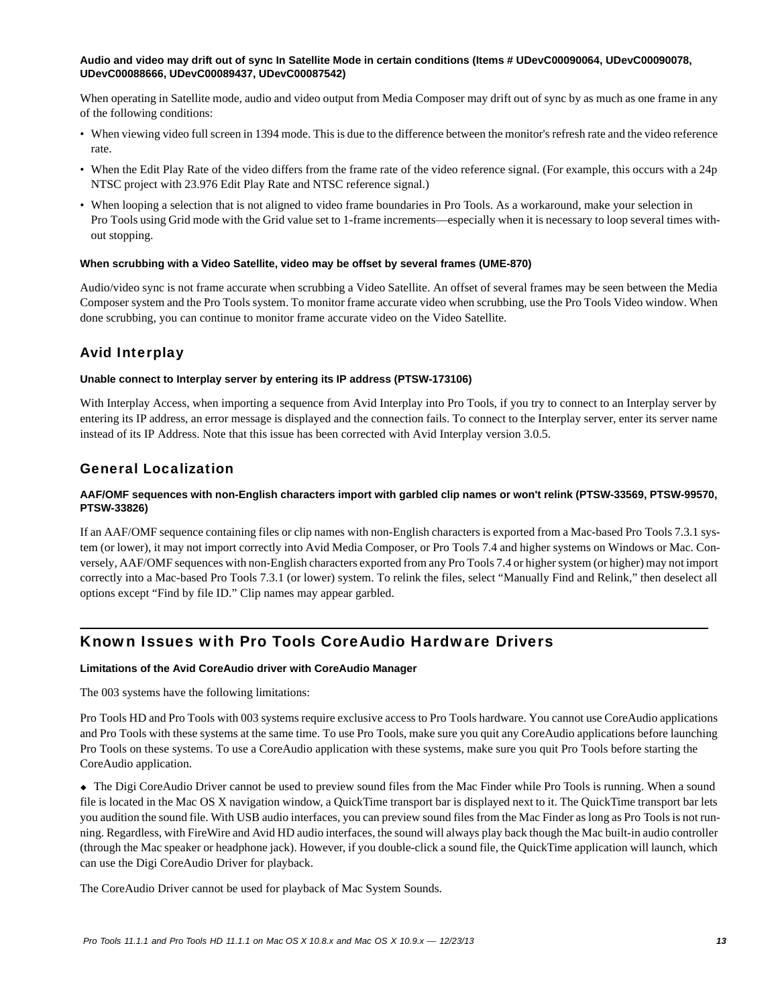# **Audio and video may drift out of sync In Satellite Mode in certain conditions (Items # UDevC00090064, UDevC00090078, UDevC00088666, UDevC00089437, UDevC00087542)**

When operating in Satellite mode, audio and video output from Media Composer may drift out of sync by as much as one frame in any of the following conditions:

- When viewing video full screen in 1394 mode. This is due to the difference between the monitor's refresh rate and the video reference rate.
- When the Edit Play Rate of the video differs from the frame rate of the video reference signal. (For example, this occurs with a 24p NTSC project with 23.976 Edit Play Rate and NTSC reference signal.)
- When looping a selection that is not aligned to video frame boundaries in Pro Tools. As a workaround, make your selection in Pro Tools using Grid mode with the Grid value set to 1-frame increments—especially when it is necessary to loop several times without stopping.

#### **When scrubbing with a Video Satellite, video may be offset by several frames (UME-870)**

Audio/video sync is not frame accurate when scrubbing a Video Satellite. An offset of several frames may be seen between the Media Composer system and the Pro Tools system. To monitor frame accurate video when scrubbing, use the Pro Tools Video window. When done scrubbing, you can continue to monitor frame accurate video on the Video Satellite.

# Avid Interplay

# **Unable connect to Interplay server by entering its IP address (PTSW-173106)**

With Interplay Access, when importing a sequence from Avid Interplay into Pro Tools, if you try to connect to an Interplay server by entering its IP address, an error message is displayed and the connection fails. To connect to the Interplay server, enter its server name instead of its IP Address. Note that this issue has been corrected with Avid Interplay version 3.0.5.

# General Localization

# **AAF/OMF sequences with non-English characters import with garbled clip names or won't relink (PTSW-33569, PTSW-99570, PTSW-33826)**

If an AAF/OMF sequence containing files or clip names with non-English characters is exported from a Mac-based Pro Tools 7.3.1 system (or lower), it may not import correctly into Avid Media Composer, or Pro Tools 7.4 and higher systems on Windows or Mac. Conversely, AAF/OMF sequences with non-English characters exported from any Pro Tools 7.4 or higher system (or higher) may not import correctly into a Mac-based Pro Tools 7.3.1 (or lower) system. To relink the files, select "Manually Find and Relink," then deselect all options except "Find by file ID." Clip names may appear garbled.

# Known Issues with Pro Tools CoreAudio Hardware Drivers

# **Limitations of the Avid CoreAudio driver with CoreAudio Manager**

The 003 systems have the following limitations:

Pro Tools HD and Pro Tools with 003 systems require exclusive access to Pro Tools hardware. You cannot use CoreAudio applications and Pro Tools with these systems at the same time. To use Pro Tools, make sure you quit any CoreAudio applications before launching Pro Tools on these systems. To use a CoreAudio application with these systems, make sure you quit Pro Tools before starting the CoreAudio application.

 The Digi CoreAudio Driver cannot be used to preview sound files from the Mac Finder while Pro Tools is running. When a sound file is located in the Mac OS X navigation window, a QuickTime transport bar is displayed next to it. The QuickTime transport bar lets you audition the sound file. With USB audio interfaces, you can preview sound files from the Mac Finder as long as Pro Tools is not running. Regardless, with FireWire and Avid HD audio interfaces, the sound will always play back though the Mac built-in audio controller (through the Mac speaker or headphone jack). However, if you double-click a sound file, the QuickTime application will launch, which can use the Digi CoreAudio Driver for playback.

The CoreAudio Driver cannot be used for playback of Mac System Sounds.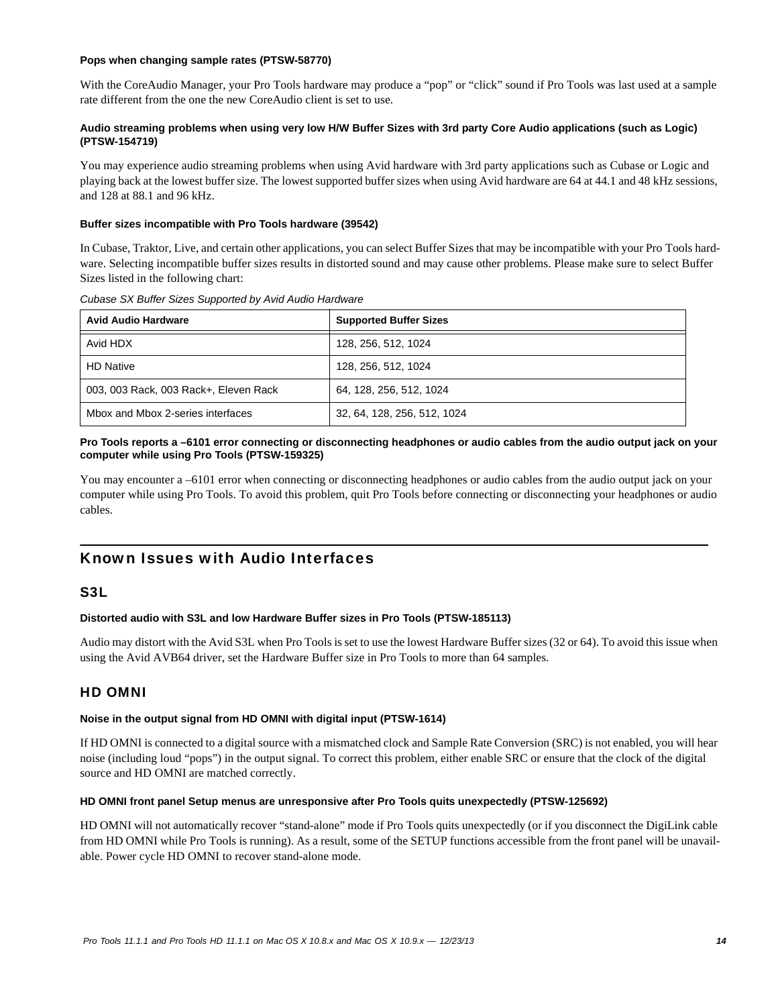### **Pops when changing sample rates (PTSW-58770)**

With the CoreAudio Manager, your Pro Tools hardware may produce a "pop" or "click" sound if Pro Tools was last used at a sample rate different from the one the new CoreAudio client is set to use.

# **Audio streaming problems when using very low H/W Buffer Sizes with 3rd party Core Audio applications (such as Logic) (PTSW-154719)**

You may experience audio streaming problems when using Avid hardware with 3rd party applications such as Cubase or Logic and playing back at the lowest buffer size. The lowest supported buffer sizes when using Avid hardware are 64 at 44.1 and 48 kHz sessions, and 128 at 88.1 and 96 kHz.

# **Buffer sizes incompatible with Pro Tools hardware (39542)**

In Cubase, Traktor, Live, and certain other applications, you can select Buffer Sizes that may be incompatible with your Pro Tools hardware. Selecting incompatible buffer sizes results in distorted sound and may cause other problems. Please make sure to select Buffer Sizes listed in the following chart:

| <b>Avid Audio Hardware</b>            | <b>Supported Buffer Sizes</b> |
|---------------------------------------|-------------------------------|
| Avid HDX                              | 128, 256, 512, 1024           |
| <b>HD Native</b>                      | 128, 256, 512, 1024           |
| 003, 003 Rack, 003 Rack+, Eleven Rack | 64, 128, 256, 512, 1024       |
| Mbox and Mbox 2-series interfaces     | 32, 64, 128, 256, 512, 1024   |

#### *Cubase SX Buffer Sizes Supported by Avid Audio Hardware*

# **Pro Tools reports a –6101 error connecting or disconnecting headphones or audio cables from the audio output jack on your computer while using Pro Tools (PTSW-159325)**

You may encounter a –6101 error when connecting or disconnecting headphones or audio cables from the audio output jack on your computer while using Pro Tools. To avoid this problem, quit Pro Tools before connecting or disconnecting your headphones or audio cables.

# Known Issues with Audio Interfaces

# S3L

# **Distorted audio with S3L and low Hardware Buffer sizes in Pro Tools (PTSW-185113)**

Audio may distort with the Avid S3L when Pro Tools is set to use the lowest Hardware Buffer sizes (32 or 64). To avoid this issue when using the Avid AVB64 driver, set the Hardware Buffer size in Pro Tools to more than 64 samples.

# HD OMNI

#### **Noise in the output signal from HD OMNI with digital input (PTSW-1614)**

If HD OMNI is connected to a digital source with a mismatched clock and Sample Rate Conversion (SRC) is not enabled, you will hear noise (including loud "pops") in the output signal. To correct this problem, either enable SRC or ensure that the clock of the digital source and HD OMNI are matched correctly.

#### **HD OMNI front panel Setup menus are unresponsive after Pro Tools quits unexpectedly (PTSW-125692)**

HD OMNI will not automatically recover "stand-alone" mode if Pro Tools quits unexpectedly (or if you disconnect the DigiLink cable from HD OMNI while Pro Tools is running). As a result, some of the SETUP functions accessible from the front panel will be unavailable. Power cycle HD OMNI to recover stand-alone mode.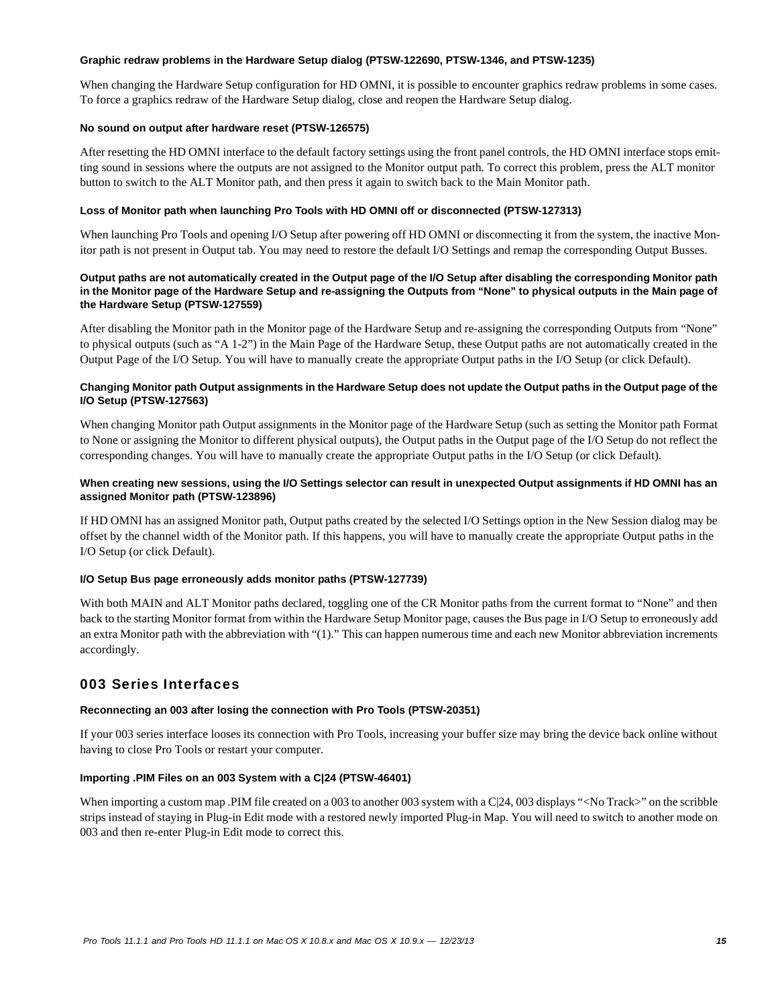#### **Graphic redraw problems in the Hardware Setup dialog (PTSW-122690, PTSW-1346, and PTSW-1235)**

When changing the Hardware Setup configuration for HD OMNI, it is possible to encounter graphics redraw problems in some cases. To force a graphics redraw of the Hardware Setup dialog, close and reopen the Hardware Setup dialog.

### **No sound on output after hardware reset (PTSW-126575)**

After resetting the HD OMNI interface to the default factory settings using the front panel controls, the HD OMNI interface stops emitting sound in sessions where the outputs are not assigned to the Monitor output path. To correct this problem, press the ALT monitor button to switch to the ALT Monitor path, and then press it again to switch back to the Main Monitor path.

### **Loss of Monitor path when launching Pro Tools with HD OMNI off or disconnected (PTSW-127313)**

When launching Pro Tools and opening I/O Setup after powering off HD OMNI or disconnecting it from the system, the inactive Monitor path is not present in Output tab. You may need to restore the default I/O Settings and remap the corresponding Output Busses.

### **Output paths are not automatically created in the Output page of the I/O Setup after disabling the corresponding Monitor path in the Monitor page of the Hardware Setup and re-assigning the Outputs from "None" to physical outputs in the Main page of the Hardware Setup (PTSW-127559)**

After disabling the Monitor path in the Monitor page of the Hardware Setup and re-assigning the corresponding Outputs from "None" to physical outputs (such as "A 1-2") in the Main Page of the Hardware Setup, these Output paths are not automatically created in the Output Page of the I/O Setup. You will have to manually create the appropriate Output paths in the I/O Setup (or click Default).

### **Changing Monitor path Output assignments in the Hardware Setup does not update the Output paths in the Output page of the I/O Setup (PTSW-127563)**

When changing Monitor path Output assignments in the Monitor page of the Hardware Setup (such as setting the Monitor path Format to None or assigning the Monitor to different physical outputs), the Output paths in the Output page of the I/O Setup do not reflect the corresponding changes. You will have to manually create the appropriate Output paths in the I/O Setup (or click Default).

# **When creating new sessions, using the I/O Settings selector can result in unexpected Output assignments if HD OMNI has an assigned Monitor path (PTSW-123896)**

If HD OMNI has an assigned Monitor path, Output paths created by the selected I/O Settings option in the New Session dialog may be offset by the channel width of the Monitor path. If this happens, you will have to manually create the appropriate Output paths in the I/O Setup (or click Default).

# **I/O Setup Bus page erroneously adds monitor paths (PTSW-127739)**

With both MAIN and ALT Monitor paths declared, toggling one of the CR Monitor paths from the current format to "None" and then back to the starting Monitor format from within the Hardware Setup Monitor page, causes the Bus page in I/O Setup to erroneously add an extra Monitor path with the abbreviation with "(1)." This can happen numerous time and each new Monitor abbreviation increments accordingly.

# 003 Series Interfaces

# **Reconnecting an 003 after losing the connection with Pro Tools (PTSW-20351)**

If your 003 series interface looses its connection with Pro Tools, increasing your buffer size may bring the device back online without having to close Pro Tools or restart your computer.

# **Importing .PIM Files on an 003 System with a C|24 (PTSW-46401)**

When importing a custom map .PIM file created on a 003 to another 003 system with a C|24, 003 displays "<No Track>" on the scribble strips instead of staying in Plug-in Edit mode with a restored newly imported Plug-in Map. You will need to switch to another mode on 003 and then re-enter Plug-in Edit mode to correct this.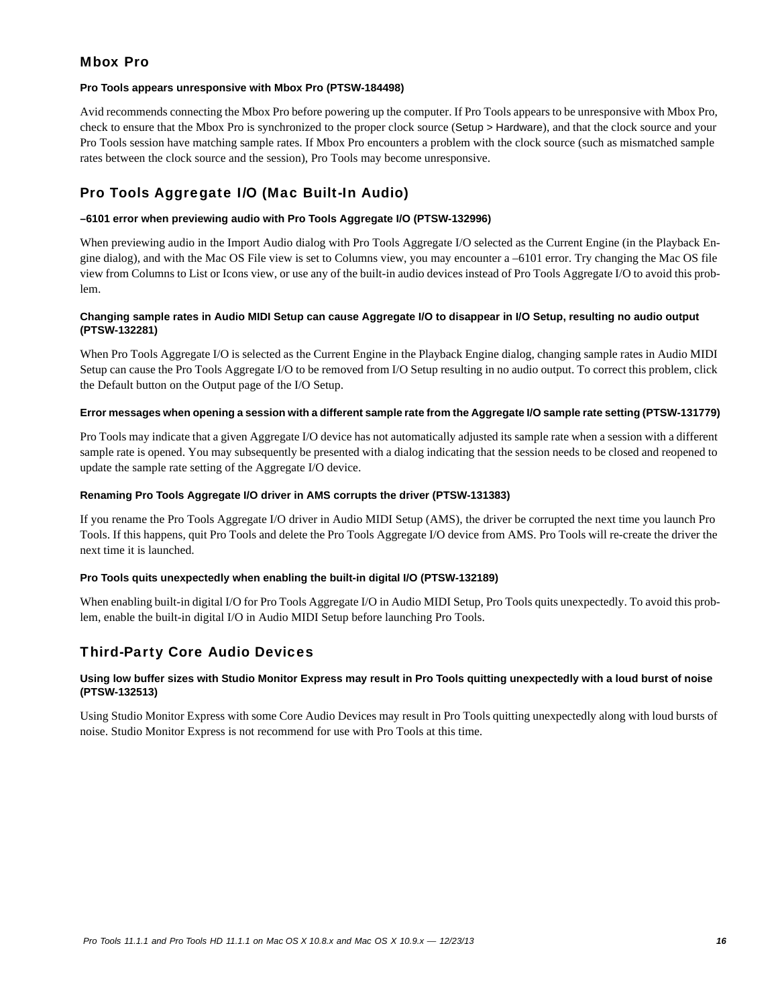# Mbox Pro

### **Pro Tools appears unresponsive with Mbox Pro (PTSW-184498)**

Avid recommends connecting the Mbox Pro before powering up the computer. If Pro Tools appears to be unresponsive with Mbox Pro, check to ensure that the Mbox Pro is synchronized to the proper clock source (Setup > Hardware), and that the clock source and your Pro Tools session have matching sample rates. If Mbox Pro encounters a problem with the clock source (such as mismatched sample rates between the clock source and the session), Pro Tools may become unresponsive.

# Pro Tools Aggregate I/O (Mac Built-In Audio)

# **–6101 error when previewing audio with Pro Tools Aggregate I/O (PTSW-132996)**

When previewing audio in the Import Audio dialog with Pro Tools Aggregate I/O selected as the Current Engine (in the Playback Engine dialog), and with the Mac OS File view is set to Columns view, you may encounter a –6101 error. Try changing the Mac OS file view from Columns to List or Icons view, or use any of the built-in audio devices instead of Pro Tools Aggregate I/O to avoid this problem.

# **Changing sample rates in Audio MIDI Setup can cause Aggregate I/O to disappear in I/O Setup, resulting no audio output (PTSW-132281)**

When Pro Tools Aggregate I/O is selected as the Current Engine in the Playback Engine dialog, changing sample rates in Audio MIDI Setup can cause the Pro Tools Aggregate I/O to be removed from I/O Setup resulting in no audio output. To correct this problem, click the Default button on the Output page of the I/O Setup.

#### **Error messages when opening a session with a different sample rate from the Aggregate I/O sample rate setting (PTSW-131779)**

Pro Tools may indicate that a given Aggregate I/O device has not automatically adjusted its sample rate when a session with a different sample rate is opened. You may subsequently be presented with a dialog indicating that the session needs to be closed and reopened to update the sample rate setting of the Aggregate I/O device.

#### **Renaming Pro Tools Aggregate I/O driver in AMS corrupts the driver (PTSW-131383)**

If you rename the Pro Tools Aggregate I/O driver in Audio MIDI Setup (AMS), the driver be corrupted the next time you launch Pro Tools. If this happens, quit Pro Tools and delete the Pro Tools Aggregate I/O device from AMS. Pro Tools will re-create the driver the next time it is launched.

# **Pro Tools quits unexpectedly when enabling the built-in digital I/O (PTSW-132189)**

When enabling built-in digital I/O for Pro Tools Aggregate I/O in Audio MIDI Setup, Pro Tools quits unexpectedly. To avoid this problem, enable the built-in digital I/O in Audio MIDI Setup before launching Pro Tools.

# Third-Party Core Audio Devices

# **Using low buffer sizes with Studio Monitor Express may result in Pro Tools quitting unexpectedly with a loud burst of noise (PTSW-132513)**

Using Studio Monitor Express with some Core Audio Devices may result in Pro Tools quitting unexpectedly along with loud bursts of noise. Studio Monitor Express is not recommend for use with Pro Tools at this time.